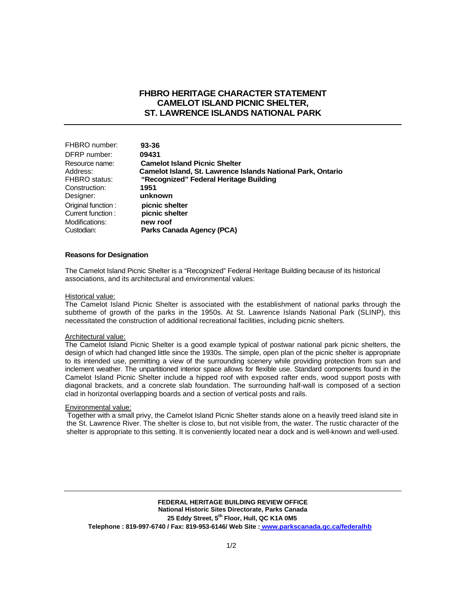## **FHBRO HERITAGE CHARACTER STATEMENT CAMELOT ISLAND PICNIC SHELTER, ST. LAWRENCE ISLANDS NATIONAL PARK**

| FHBRO number:        | 93-36                                                       |
|----------------------|-------------------------------------------------------------|
| DFRP number:         | 09431                                                       |
| Resource name:       | <b>Camelot Island Picnic Shelter</b>                        |
| Address:             | Camelot Island, St. Lawrence Islands National Park, Ontario |
| <b>FHBRO</b> status: | "Recognized" Federal Heritage Building                      |
| Construction:        | 1951                                                        |
| Designer:            | unknown                                                     |
| Original function:   | picnic shelter                                              |
| Current function:    | picnic shelter                                              |
| Modifications:       | new roof                                                    |
| Custodian:           | Parks Canada Agency (PCA)                                   |

#### **Reasons for Designation**

The Camelot Island Picnic Shelter is a "Recognized" Federal Heritage Building because of its historical associations, and its architectural and environmental values:

#### Historical value:

The Camelot Island Picnic Shelter is associated with the establishment of national parks through the subtheme of growth of the parks in the 1950s. At St. Lawrence Islands National Park (SLINP), this necessitated the construction of additional recreational facilities, including picnic shelters.

#### Architectural value:

The Camelot Island Picnic Shelter is a good example typical of postwar national park picnic shelters, the design of which had changed little since the 1930s. The simple, open plan of the picnic shelter is appropriate to its intended use, permitting a view of the surrounding scenery while providing protection from sun and inclement weather. The unpartitioned interior space allows for flexible use. Standard components found in the Camelot Island Picnic Shelter include a hipped roof with exposed rafter ends, wood support posts with diagonal brackets, and a concrete slab foundation. The surrounding half-wall is composed of a section clad in horizontal overlapping boards and a section of vertical posts and rails.

### Environmental value:

Together with a small privy, the Camelot Island Picnic Shelter stands alone on a heavily treed island site in the St. Lawrence River. The shelter is close to, but not visible from, the water. The rustic character of the shelter is appropriate to this setting. It is conveniently located near a dock and is well-known and well-used.

**FEDERAL HERITAGE BUILDING REVIEW OFFICE National Historic Sites Directorate, Parks Canada 25 Eddy Street, 5th Floor, Hull, QC K1A 0M5 Telephone : 819-997-6740 / Fax: 819-953-6146/ Web Site : www.parkscanada.qc.ca/federalhb**